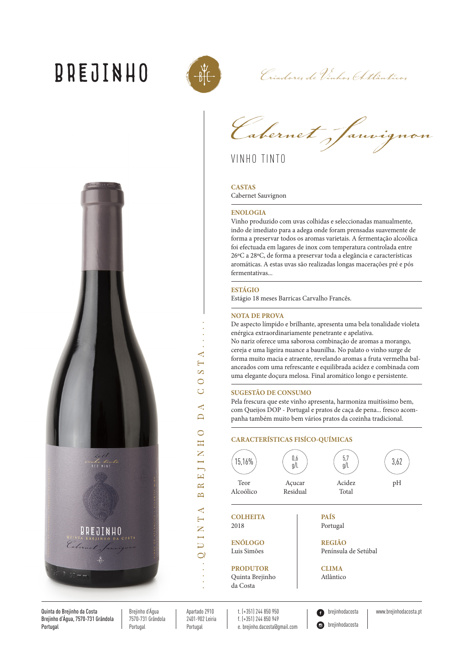# **BREJINHO**



Crisolares de Vinhas (Atlânticas

*Cabernet Sauvignon*

VINHO TINTO

## **CASTAS**

Cabernet Sauvignon

## **ENOLOGIA**

Vinho produzido com uvas colhidas e seleccionadas manualmente, indo de imediato para a adega onde foram prensadas suavemente de forma a preservar todos os aromas varietais. A fermentação alcoólica foi efectuada em lagares de inox com temperatura controlada entre 26ºC a 28ºC, de forma a preservar toda a elegância e características aromáticas. A estas uvas são realizadas longas macerações pré e pós fermentativas...

### **ESTÁGIO**

Estágio 18 meses Barricas Carvalho Francês.

### **NOTA DE PROVA**

De aspecto límpido e brilhante, apresenta uma bela tonalidade violeta enérgica extraordinariamente penetrante e apelativa.

No nariz oferece uma saborosa combinação de aromas a morango, cereja e uma ligeira nuance a baunilha. No palato o vinho surge de forma muito macia e atraente, revelando aromas a fruta vermelha balanceados com uma refrescante e equilibrada acidez e combinada com uma elegante doçura melosa. Final aromático longo e persistente.

#### **SUGESTÃO DE CONSUMO**

Pela frescura que este vinho apresenta, harmoniza muitíssimo bem, com Queijos DOP - Portugal e pratos de caça de pena... fresco acompanha também muito bem vários pratos da cozinha tradicional.

# **CARACTERÍSTICAS FISÍCO-QUÍMICAS**



Quinta Brejinho da Costa

Ô **brejinhodacosta** 

brejinhodacosta | www.brejinhodacosta.pt

∢  $\overline{\mathbb{R}}$  $\infty$  $\overline{\circ}$ Ō ₹  $\Box$  $\overline{\circ}$  $\mathbb{H}$  $\geq$ EJI  $\approx$  $\overline{\mathbb{D}}$  $\overline{\phantom{0}}$ U I N

Quinta do Breiinho da Costa Brejinho d'Água, 7570-731 Grândola Portugal

Breiinho d'Água 7570-731 Grândola Portugal

Apartado 2910 2401-902 Leiria Portugal

t. (+351) 244 850 950 f. (+351) 244 850 949 e. brejinho.dacosta@gmail.com